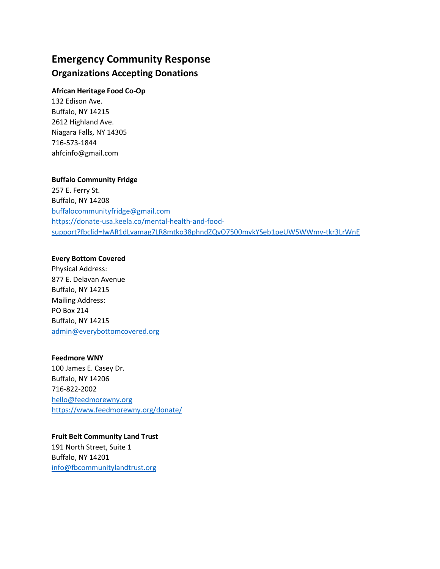# **Emergency Community Response Organizations Accepting Donations**

## **African Heritage Food Co-Op**

132 Edison Ave. Buffalo, NY 14215 2612 Highland Ave. Niagara Falls, NY 14305 716-573-1844 ahfcinfo@gmail.com

### **Buffalo Community Fridge**

257 E. Ferry St. Buffalo, NY 14208 buffalocommunityfridge@gmail.com https://donate-usa.keela.co/mental-health-and-foodsupport?fbclid=IwAR1dLvamag7LR8mtko38phndZQvO7500mvkYSeb1peUW5WWmv-tkr3LrWnE

### **Every Bottom Covered**

Physical Address: 877 E. Delavan Avenue Buffalo, NY 14215 Mailing Address: PO Box 214 Buffalo, NY 14215 admin@everybottomcovered.org

### **Feedmore WNY**

100 James E. Casey Dr. Buffalo, NY 14206 716-822-2002 hello@feedmorewny.org https://www.feedmorewny.org/donate/

# **Fruit Belt Community Land Trust**

191 North Street, Suite 1 Buffalo, NY 14201 info@fbcommunitylandtrust.org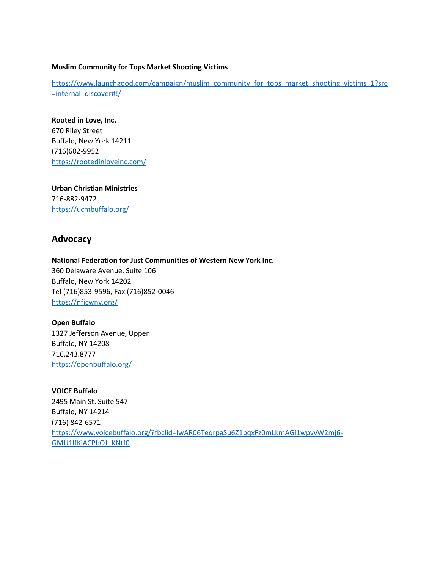#### **Muslim Community for Tops Market Shooting Victims**

https://www.launchgood.com/campaign/muslim\_community\_for\_tops\_market\_shooting\_victims\_1?src =internal\_discover#!/

**Rooted in Love, Inc.** 670 Riley Street Buffalo, New York 14211 (716)602-9952 https://rootedinloveinc.com/

**Urban Christian Ministries** 716-882-9472 https://ucmbuffalo.org/

# **Advocacy**

**National Federation for Just Communities of Western New York Inc.** 360 Delaware Avenue, Suite 106 Buffalo, New York 14202 Tel (716)853-9596, Fax (716)852-0046 https://nfjcwny.org/

**Open Buffalo** 1327 Jefferson Avenue, Upper Buffalo, NY 14208 716.243.8777 https://openbuffalo.org/

**VOICE Buffalo** 2495 Main St. Suite 547 Buffalo, NY 14214 (716) 842-6571 https://www.voicebuffalo.org/?fbclid=IwAR06TeqrpaSu6Z1bqxFz0mLkmAGi1wpvvW2mj6- GMU1lfKiACPbOJ\_KNtf0